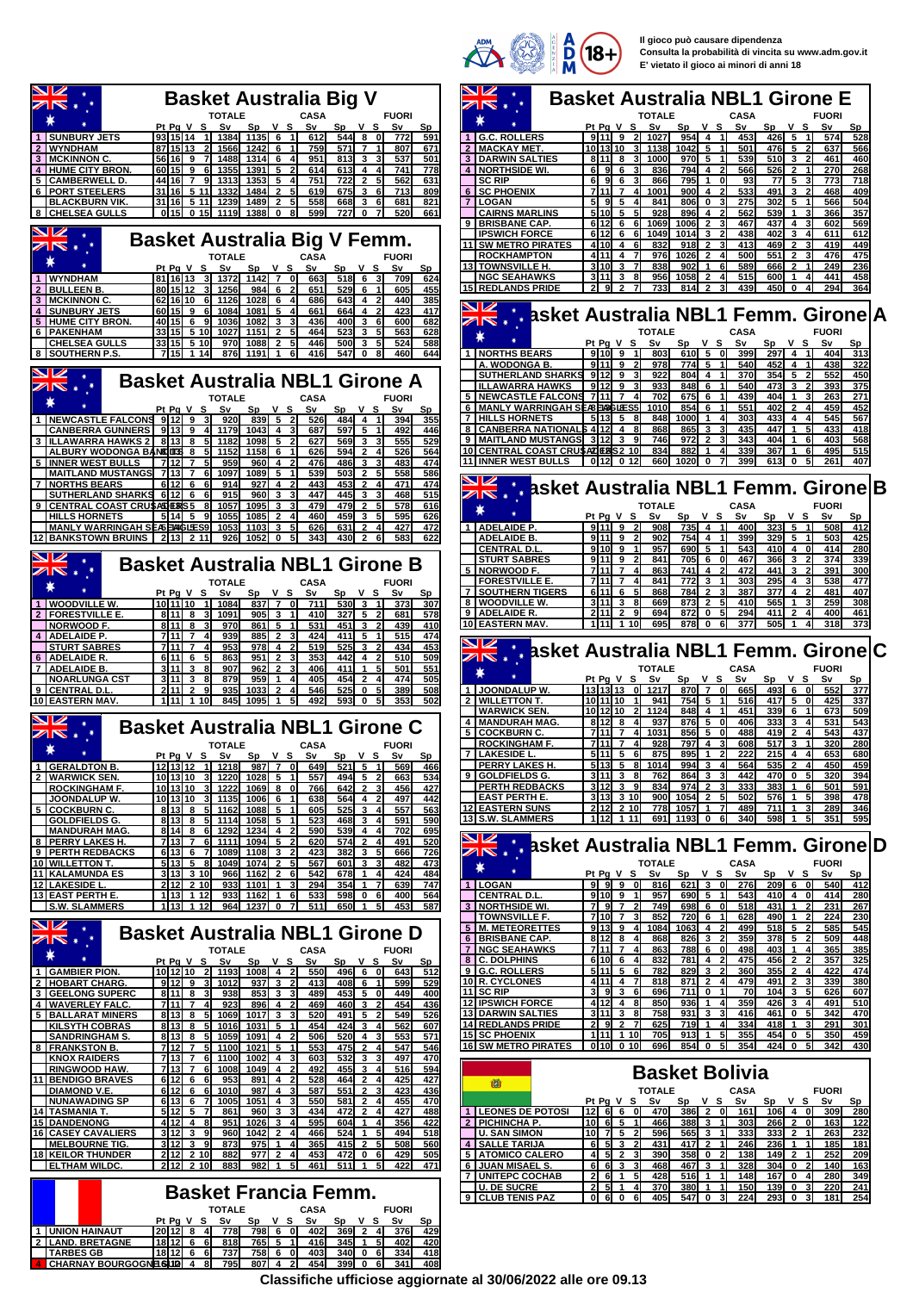

|                                                                                                                                                                                               | <b>COLORED STATE</b><br>М<br>⊏ vietato il gioco al minori di anni 16                                                                                                                                                                                                 |
|-----------------------------------------------------------------------------------------------------------------------------------------------------------------------------------------------|----------------------------------------------------------------------------------------------------------------------------------------------------------------------------------------------------------------------------------------------------------------------|
| <b>Basket Australia Big V</b>                                                                                                                                                                 | <b>Basket Australia NBL1 Girone E</b>                                                                                                                                                                                                                                |
| <b>CASA</b><br><b>FUORI</b><br>TOTALE                                                                                                                                                         | <b>CASA</b><br><b>TOTALE</b><br><b>FUORI</b>                                                                                                                                                                                                                         |
| V S<br>Pq V S<br>S٧<br>Sp<br>S٧<br>Sp<br>v s<br>Sv<br>$S_{p}$<br>3 15 14<br>$544$ 8<br>-11<br>1384<br>1135 6<br>612<br>0<br>772<br>591                                                        | Pt Pg V S<br>S٧<br>Sp<br>v s<br>S٧<br>Sp<br>v s<br>Sv<br>Sp<br>91119<br>5<br>G.C. ROLLERS<br>21<br>1027<br>954<br>$\overline{4}$<br>$\vert$<br>453<br>426<br>574<br>528<br>$\mathbf{1}$                                                                              |
| 7 15 13<br>1242<br>759<br>571<br>$\overline{7}$<br>807<br>671<br>1566<br>6                                                                                                                    | <b>MACKAY MET.</b><br>101310<br>1138<br>1042<br>501<br>476<br>5<br>637<br>566<br>3<br>5                                                                                                                                                                              |
| 히 16<br>9<br>1488<br>1314<br>951<br>813<br>3<br>3<br>537<br>501<br>7<br>6<br>15<br>9<br>1355<br>1391<br>5<br>614<br>613<br>4<br>741<br>778<br>6<br>4                                          | DARWIN SALTIES<br>811<br>3<br>1000<br>970<br>5<br>539<br><b>510</b><br>3<br>$\overline{2}$<br>461<br>460<br>3<br>- 8<br>-1<br>4<br><b>NORTHSIDE WI.</b><br>6<br>91<br>6<br>836<br>794<br>4<br>566<br>526<br>$\mathbf{2}$<br>270<br>268                               |
| 751<br>722<br>$\mathbf{2}$<br>5<br>562<br>631<br>16<br>7<br>1313<br>1353<br>5<br>9                                                                                                            | <b>SC RIP</b><br>795<br>5<br>718<br>61<br>-91<br>6<br>866<br>1<br>O<br>93<br>77<br>773                                                                                                                                                                               |
| 809<br>16<br>5 11<br>1332<br>1484<br>$\mathbf{2}$<br>619<br>675<br>3<br>713<br>l 16l<br>5 1 1<br>1239<br>1489<br>558<br>3<br>681<br>821<br>2<br>5<br>668<br>6                                 | <b>SC PHOENIX</b><br>1001<br>533<br>491<br>468<br>409<br>7111<br>$\overline{7}$<br>900<br>4<br>3<br>51<br>841<br>806<br>0<br>275<br>302<br>5<br>566<br>504<br>LOGAN<br>9<br>5                                                                                        |
| 599<br>)  15 <br>0.15<br><b>1119</b><br>1388<br>727<br>0<br>520<br>661<br>0<br>8                                                                                                              | 357<br><b>CAIRNS MARLINS</b><br>510<br>5<br>928<br>896<br>562<br>539<br>366<br>4<br>1                                                                                                                                                                                |
|                                                                                                                                                                                               | 1069<br>1006<br>437<br>602<br>569<br><b>BRISBANE CAP</b><br>612<br>- 6<br>61<br>$\mathbf{2}$<br>467<br>4<br>3<br><b>IPSWICH FORCE</b><br>612<br>6<br>1049<br>1014<br>3<br>438<br>402<br>3<br>611<br>612<br>6<br>4                                                    |
| ket Australia Big V Femm.                                                                                                                                                                     | SW METRO PIRATES<br>469<br>$\overline{2}$<br>419<br>449<br>11<br>4110<br>-4<br>832<br>918<br>2<br>413<br>3<br>6                                                                                                                                                      |
| <b>CASA</b><br><b>FUORI</b><br><b>TOTALE</b><br>t Pa V S<br>Sν<br>v s<br>Sp<br>v s<br>S٧<br>Sp<br>Sv<br>Sp                                                                                    | <b>ROCKHAMPTON</b><br>1026<br>$\overline{2}$<br>$\mathbf{2}$<br>476<br>475<br>4111<br>976<br>500<br>551<br>4<br>13 TOWNSVILLE H.<br>3 I 1 O I<br>3<br>838<br>902<br>1<br>589<br>666<br>$\overline{2}$<br>249<br>236<br>6                                             |
| 11613<br>1372<br>1142<br>$\overline{7}$<br>$518$ 6<br>709<br>624<br>31<br>$\Omega$<br>663<br>3                                                                                                | <b>NGC SEAHAWKS</b><br>956<br>1058<br>$\mathbf{2}$<br>515<br>600<br>441<br>458<br>3111<br>3<br>8<br>1<br>4<br>4<br>۹<br>2                                                                                                                                            |
| JI 15 12<br>1256<br>984 6<br>651<br>529<br>6<br>605<br>455<br>1<br>2 16 10<br>1028<br>686<br>643<br>440<br>385<br>1126<br>- 6<br>-4<br>61                                                     | 15 REDLANDS PRIDE<br>733<br>814<br>439<br>450<br>294<br>0<br>364                                                                                                                                                                                                     |
| 15<br>1084<br>1081<br>661<br>664<br>423<br>417<br>- 9<br>5<br>4                                                                                                                               | NZ<br><b>asket Australia NBL1 Femm. Girone∣A</b>                                                                                                                                                                                                                     |
| )  15 <br>6<br>1036<br>1082<br>3<br>436<br><b>400</b><br>3<br>600<br>682<br>6<br>523<br>5 10<br>1027<br>1151<br>464<br>3<br>5<br>563<br>628<br>31 1 5 I<br>2<br>5                             | <b>CASA</b><br><b>FUORI</b><br><b>TOTALE</b>                                                                                                                                                                                                                         |
| 315<br>524<br>5 10<br>970<br>1088<br>$\mathbf{2}$<br>5<br>446<br>500<br>3<br>588<br>l 15 l<br>1 14<br>876<br>1191<br>$\mathbf{1}$<br>6<br>416<br>547<br>$\mathbf 0$<br>8<br>460<br>644        | Pt Pg V S<br>Sv<br>v s<br>Sp<br>v s<br>S٧<br>Sp<br>S٧<br>Sp<br>$9110 - 9$<br>$\overline{1}$<br>5<br>1<br><b>1   NORTHS BEARS</b><br>803<br>610I<br>0<br>399<br>297<br>$\overline{4}$<br>404<br>313                                                                   |
|                                                                                                                                                                                               | A. WODONGA B.<br><b>9111</b><br>978<br>540<br>452<br>4<br>438<br>322<br>9<br>774<br>5                                                                                                                                                                                |
| <b>ret Australia NBL1 Girone A</b>                                                                                                                                                            | <b>SUTHERLAND SHARKS</b><br>912<br>922<br>5<br>450<br>804<br>4<br>370<br>354<br>552<br>-9<br><b>ILLAWARRA HAWKS</b><br>933<br>848<br>540<br>473<br>3<br>393<br>375<br>9112<br>9<br>6<br>2                                                                            |
| <b>CASA</b><br><b>FUORI</b><br><b>TOTALE</b>                                                                                                                                                  | <b>NEWCASTLE FALCONS</b><br><b>7111</b><br>702<br>675<br>439<br>404<br>$\mathbf{1}$<br>3<br>263<br>271<br>7<br>6<br>1                                                                                                                                                |
| t Pa V S<br>S٧<br>V S<br>S٧<br>Sp.<br>v s<br>Sp.<br>Sν<br><b>Sp</b><br>9 12 9<br>839 5<br>526<br>484 4<br>355<br>920<br>394                                                                   | <b>MANLY WARRINGAH SEASEISSES5</b><br>1010<br>854<br>551<br>402<br>$\mathbf{2}$<br>459<br>452<br>$\mathbf{1}$<br>$\overline{4}$<br>6<br>545<br>$\overline{7}$<br><b>HILLS HORNETS</b><br>848<br>1000<br>1<br>303<br>433<br>4<br>567<br>5113<br>5<br>4<br>4           |
| 13 9<br>1043<br>1179<br>687<br>597<br>5<br>492<br>446<br>4<br>41                                                                                                                              | <b>CANBERRA NATIONALS 4 12</b><br>447<br>$\mathbf{1}$<br>5<br>433<br>418<br>4<br>868<br>865<br>3<br>435                                                                                                                                                              |
| 13 <br>8<br>1182<br>1098<br>5<br>627<br>569<br>3<br>555<br>529<br>5<br>594<br>564<br>DITE.<br>1152<br>1158<br>626<br>$\mathbf{2}$<br>526<br>- 8<br>6<br>4<br>5                                | <b>MAITLAND MUSTANGS</b><br>$\overline{2}$<br>403<br>568<br>3112<br>746<br>972<br>343<br>404<br>1<br>6<br>10 CENTRAL COAST CRUSATERS 2 10<br>834<br>882<br>339<br>367<br>1<br>495<br>515<br>1<br>6                                                                   |
| 12<br>959<br>960<br>474<br>$\overline{7}$<br>476<br>486<br>3<br>483<br>4                                                                                                                      | <b>11 INNER WEST BULLS</b><br>660I<br>1020<br>399<br>261<br>0112<br>0 <sub>12</sub><br>0<br>613<br>0<br>407                                                                                                                                                          |
| $\overline{2}$<br>13<br>$\overline{7}$<br>1097<br>1089<br>5<br>539<br>503<br>5<br>558<br>586<br>61<br>$12$<br>914<br>927<br>443<br>453<br>$\overline{2}$<br>471<br>474<br>- 6<br>4<br>4       |                                                                                                                                                                                                                                                                      |
| 515<br>12<br>915<br>960<br>3<br>447<br>445<br>3<br>468<br>- 6                                                                                                                                 | asket Australia NBL1 Femm. Girone B<br>$\rightarrow$                                                                                                                                                                                                                 |
| <b>DEBS5</b><br>1057<br>1095<br>3<br>479<br>479<br>$\mathbf{2}$<br>578<br>616<br>3<br>5<br>я<br>459<br>5<br>595<br>626<br>1055<br>1085<br>460<br>3<br>l 14 I<br>- 5<br>9<br>2                 | <b>TOTALE</b><br><b>CASA</b><br><b>FUORI</b><br>Pt Pg V S<br>S٧<br>v s<br>Sν<br>S٧<br>Sp<br>v s<br>Sp<br>Sp                                                                                                                                                          |
| 427<br>472<br><b>FIANG LES9</b><br>1053<br>1103<br>3<br>626<br>631<br>$\overline{2}$<br>4                                                                                                     | <b>ADELAIDE P</b><br>9119<br>908<br>735<br>$\overline{\mathbf{4}}$<br>400<br>323 5<br>508<br>412<br>$\vert$<br>$\mathbf{1}$                                                                                                                                          |
| 13 2 11<br>926<br>1052<br>0<br>5<br>343<br>430<br>$\overline{2}$<br>583<br>622                                                                                                                | 9111<br>5<br><b>ADELAIDE B.</b><br>9<br>902<br>754<br>4<br>$\mathbf{1}$<br>399<br>329<br>1<br>503<br>425<br>910 9<br>5<br>543<br>4<br>414<br>280<br><b>CENTRAL D.L.</b><br>957<br>690<br>1<br>410<br>$\Omega$                                                        |
| <b>ket Australia NBL1 Girone B</b>                                                                                                                                                            | 374<br><b>STURT SABRES</b><br>9 11 <br>705<br>6<br>366<br>3<br>339<br>9<br>841<br>0<br>467                                                                                                                                                                           |
| <b>CASA</b><br><b>FUORI</b><br><b>TOTALE</b>                                                                                                                                                  | <b>NORWOOD F.</b><br>7111<br>$\overline{7}$<br>863<br>741<br>4<br>472<br>441<br>3<br>391<br>300<br>2<br>538<br><b>7111</b><br>841<br>772<br>3<br>303<br>295<br>4 3<br>477<br><b>FORESTVILLE E</b><br>7<br>-1                                                         |
| iPg V S<br>v s<br>S٧<br>v s<br>S٧<br>Sp<br>Sp<br>Sν<br>Sp                                                                                                                                     | <b>SOUTHERN TIGERS</b><br>784<br>$\overline{2}$<br>481<br>407<br>6 11<br>- 6<br>5<br>868<br>387<br>377<br>4<br>$\overline{\mathbf{2}}$<br>259<br>WOODVILLE W.<br>3<br>669<br>873<br>$\mathbf{2}$<br>410<br>565<br>1<br>3<br>308<br>8<br>3I 11I<br>8<br>5             |
| DI 11 10<br>$837$ 7<br>530 3<br>- Ol<br>711<br>307<br>1I<br>1084<br>373<br>311 8<br>578<br>1091<br>905<br>3<br>410<br>327<br>- 5<br>681                                                       | 9 ADELAIDE R.<br>294<br>$\mathbf{2}$<br>400<br>461<br>2111<br>$\mathbf{2}$<br>9<br>694<br>872<br>0<br>5<br>411<br>4                                                                                                                                                  |
| 11<br>8<br>970<br>861 5<br>531<br>451<br>3<br>439<br>410<br>2<br>411<br>5<br>515<br>474<br>l 11l<br>939<br>885<br>424<br>-7<br>$\mathbf{2}$<br>3                                              | 10 EASTERN MAV.<br>318<br>1111<br>1 10<br>695<br>878<br>$\mathbf 0$<br>377<br>505<br>373<br>1                                                                                                                                                                        |
| 453<br>11<br>$\overline{7}$<br>953<br>978<br>4<br>519<br>525<br>3<br>434                                                                                                                      | $\frac{1}{2}$ . $\frac{1}{2}$ asket Australia NBL1 Femm. Girone C                                                                                                                                                                                                    |
| 11<br>- 6<br>863<br>951<br>$\overline{2}$<br>353<br>442<br>4<br>510<br>509<br>5<br>3<br>2<br>907<br>406<br>411<br>1<br>501<br>551<br>111<br>3<br>962<br>2                                     | <b>CASA</b><br><b>FUORI</b><br><b>TOTALE</b>                                                                                                                                                                                                                         |
| $11$<br>879<br>959<br>405<br>454<br>$\mathbf{2}$<br>474<br>505                                                                                                                                | Sv<br>V S<br>Pt Pg V S<br>Sp<br>v s<br>S٧<br>Sp<br>Sv<br>Sp                                                                                                                                                                                                          |
| 935<br>1033<br>$\mathbf{2}$<br>546<br>525<br>0<br>389<br>508<br>11<br>2<br>4<br>5<br><b>111</b><br>5<br>492<br>593I<br>502<br>110<br>845<br>1095<br>0<br>353                                  | $\overline{7}$<br>13 13 13<br>493 6 0<br>JOONDALUP W.<br>οI<br>1217<br>870I<br>οI<br>665<br>552<br>377<br><b>WILLETTON T.</b><br>10 11 10<br>941<br>5<br>516<br>417<br>5<br>$\mathbf{0}$<br>425<br>337<br>754<br>1                                                   |
|                                                                                                                                                                                               | <b>WARWICK SEN</b><br>10 12 10<br>1124<br>848<br>$\vert$<br>451<br>339<br>673<br>509<br>4<br>6<br>1                                                                                                                                                                  |
| <b>ket Australia NBL1 Girone C</b>                                                                                                                                                            | 937<br>876<br>5<br>406<br>333<br>3<br>531<br>543<br><b>MANDURAH MAG.</b><br>812<br>8<br>0<br>4<br>1031<br>488<br>$\overline{2}$<br>543<br>437<br>5<br><b>COCKBURN C.</b><br>7111<br>7<br>856<br>5<br>419<br>4<br>4<br>0                                              |
| <b>TOTALE</b><br><b>CASA</b><br><b>FUORI</b>                                                                                                                                                  | 711<br><b>ROCKINGHAM F.</b><br>$\overline{7}$<br>928<br>797<br>4<br>608<br>517<br>3<br>320<br>280<br>4<br>875<br>222<br>215                                                                                                                                          |
| tPg V S<br>S٧<br>Sp<br>v s<br>S٧<br>Sp<br>v s<br>S٧<br>Sp.<br>21312 1 1218<br>987 7 0<br>$521$ 5<br>$\overline{1}$<br>569<br>466<br>649                                                       | 895<br>680<br>653<br>5111 I<br>LAKESIDE L.<br>561<br>44<br>$5 13 $ 5 8 1014<br>$\mathbf{3}$<br>$2 \quad 4$<br>459<br><b>PERRY LAKES H.</b><br>994<br>564<br>535<br>450<br>-4                                                                                         |
| 1310<br>31<br>$1028$ 5<br>$494$ 5 2<br>1220<br>557<br>663<br>534<br>$\overline{1}$<br>) 13 10<br>1222<br>$1069$ 8 0<br>6421<br>$\overline{2}$<br>456<br>427<br>31<br>3                        | 9 GOLDFIELDS G.<br>$3 11 $ 3 8<br>762<br>864<br>3<br>31<br>442<br>470 0 5<br>320<br>394<br>3 12 39<br><b>PERTH REDBACKS</b><br>834<br>974<br>$\overline{2}$<br>333<br>383<br>$1\quad 6$<br>501<br>591<br>31                                                          |
| 766<br>1310<br>3<br>1135<br>$1006$ 6<br>638<br>564 4<br>497<br>442                                                                                                                            | l EAST PERTH E.<br>3 13 3 10<br>$\overline{2}$<br>1 <sub>5</sub><br>398<br>478<br>9001<br>1054<br>-51<br>502<br>576                                                                                                                                                  |
| 31338<br>-51<br>1162<br>1088 5<br>605<br>525 3<br>557<br>563<br>$\overline{1}$<br>4<br>313 8 5<br>590<br>1114<br>$1058$ 5 1<br>523<br>468 3 4<br>591                                          | <b>12 EASTERN SUNS</b><br>2 12 2 10<br>1057<br>$\mathbf{1}$<br>711<br>1<br>3<br>289<br>346<br>778I<br>489<br>5 <sub>l</sub><br>13 S.W. SLAMMERS<br>112 111<br>691<br>1193<br>$\mathbf 0$<br>6<br>340<br>598<br>$\mathbf 1$<br>351<br>595                             |
| 314 8 6<br>1292<br>1234<br>4<br>590<br>539 4 4<br>702<br>695                                                                                                                                  | VZ                                                                                                                                                                                                                                                                   |
| 13 <sub>7</sub><br>1111<br>1094 5<br>574 2<br>520<br>-61<br>$\overline{2}$<br>620<br>491<br>$\overline{4}$<br>3 13  6 7<br>1089<br>1108 3<br>423<br>382<br>3 <sub>5</sub><br>726<br>-2<br>666 | asket Australia NBL1 Femm. Girone D                                                                                                                                                                                                                                  |
| $5 13 $ 5 8<br>1049<br>1074<br>$\overline{2}$<br>567<br>601<br>482<br>473<br>3                                                                                                                | <b>CASA</b><br><b>FUORI</b><br><b>TOTALE</b>                                                                                                                                                                                                                         |
| 3 13 3 10<br>$1162$ $2$<br>678 1<br>424<br>484<br>966<br>542<br>4<br>-61<br>212 2 10<br>1101<br>294<br>354 1<br>$\overline{7}$<br>639<br>747<br>9331<br>1<br>-3                               | Pt Pg V S<br>S٧<br>$V$ S<br>Sv<br>v s<br>Sν<br>Sp<br>Sp.<br>Sp<br>9990<br>$209$ 6 0<br>540<br>412<br>1 LOGAN<br>621 3 0<br>276<br>816                                                                                                                                |
| 13 112<br>933<br>1162<br>$\mathbf{1}$<br>533<br>598 0 6<br>400<br>564<br>6                                                                                                                    | <b>CENTRAL D.L</b><br>9109<br>957<br>5<br>690I<br>-1 I<br>543<br>410 4 0<br>414<br>280<br>$\mathbf{1}$<br>797                                                                                                                                                        |
| 13 112<br>964 1237 0<br>511<br>650 1<br>5<br>453<br>587<br>$\overline{7}$                                                                                                                     | <b>3   NORTHSIDE WI.</b><br>$\overline{2}$<br>749<br>6 O<br>431 1 2<br>231<br>267<br>698<br>518<br>$7 10 $ 7 3<br>490<br>1 <sub>2</sub><br>224<br>230<br><b> TOWNSVILLE F</b><br>852<br>720I<br>6<br>-11<br>628                                                      |
| <b>ket Australia NBL1 Girone D</b>                                                                                                                                                            | 9 13 9 4<br>$518$ 5<br>585<br>545<br>5 M. METEORETTES<br>1084<br>1063<br>499<br>$\overline{\mathbf{2}}$<br>4<br>8 12 8 4<br>359<br>378 5 2<br><b>509</b><br>448<br>6 BRISBANE CAP.<br>868<br>826<br>$\mathbf{3}$<br>$\overline{2}$                                   |
| <b>TOTALE</b><br>CASA<br><b>FUORI</b>                                                                                                                                                         | 385<br><b>7   NGC SEAHAWKS</b><br>7 11 7 4<br>863<br>788<br>403<br>365<br>601<br>498<br>$14$                                                                                                                                                                         |
| Pg V S Sv<br>$Sp$ $V$ $S$<br>Sv<br>$Sp$ $V$ $S$<br>Sv<br><b>Sp</b><br>) 12 10 2  1193  1008  4 2 <br>496 6 0<br>550<br>512                                                                    | 8 C. DOLPHINS<br>6 10 6<br>832<br>357<br>325<br>-41<br>781 I<br>475<br>456<br>2<br>$\overline{2}$<br>4<br>9 G.C. ROLLERS<br>5 11 5 6<br>782<br>829<br>355<br>$\mathbf{2}$<br>422<br>474<br>3<br>$\overline{\mathbf{2}}$<br>360<br>4                                  |
| 643<br>9 12 9<br>1012<br>$937$ 3<br>$408$ 6<br>529<br>3<br>413<br>$\overline{1}$<br>599                                                                                                       | 10 R. CYCLONES<br>339<br>380<br>4 11 4 7<br>2 <sub>3</sub><br>818<br>8711<br>$\mathbf{2}$<br>$\overline{4}$<br>479<br>491                                                                                                                                            |
| 3 11 8 3<br>853 3 3<br>489<br>$453$ 5 0<br>449<br>400<br>938<br>7 11 7 4<br>$460$ 3 2<br>436<br>923<br>$896$ 4 2<br>469<br>454                                                                | <b>11 SC RIP</b><br>393<br>696<br>711 0<br>104<br>$\mathbf{3}$<br>$\sqrt{5}$<br>626<br>607<br>- 6<br>$\mathbf{1}$<br>70<br><b>12 IPSWICH FORCE</b><br>$412$ $4$ 8<br>850<br>359<br>426 3 4<br>491<br>510<br>936<br>$\mathbf{1}$<br>41                                |
| 313 8 5<br>$1017$ 3<br>526<br>1069<br>520<br>491 5<br>- 2<br>549                                                                                                                              | 342<br><b>13 DARWIN SALTIES</b><br>$3 11 $ 3 8<br>758<br>931 3<br>461 0 5<br>470<br>31<br>416                                                                                                                                                                        |
| 3 13 85<br>1031 5<br>424<br>3<br>1016<br>454<br>562<br>607<br>$\overline{1}$<br>$\overline{4}$<br>313 8 5<br>1059<br>$1091$ 4 2<br>506<br>520 4<br>571<br>3<br>553                            | <b>14 REDLANDS PRIDE</b><br>2 9 2 7<br>625<br>291<br>301<br>719 <b> </b><br>$\mathbf{1}$<br>334<br>418<br>3<br>41<br>1<br>111 110<br><b>15 SC PHOENIX</b><br>705<br>355<br>454 0 5<br><b>350</b><br>459<br>913<br>$\mathbf{1}$<br>5                                  |
| 712 7<br>-51<br>1100<br>$1021$ $5$<br>546<br>553<br>475<br>$\overline{2}$<br>547<br>4                                                                                                         | 0100010<br>16 SW METRO PIRATES<br>696<br>854 0<br>354<br>424 0<br>342<br>430<br>-51<br>5                                                                                                                                                                             |
| $713$ 7 6<br>$532$ 3<br>497<br>470<br>1100<br>$1002$ 4 3<br>603<br>з<br>713 76<br>594<br>1008<br>$1049$ 4 2<br>492<br>455<br>∣3.<br>516<br>4                                                  |                                                                                                                                                                                                                                                                      |
| 51266<br>953<br>891 4<br>$\mathbf{2}$<br>425<br>528<br>464<br>427<br>4                                                                                                                        | <b>Basket Bolivia</b><br>Ŵ                                                                                                                                                                                                                                           |
| 12 6 6<br>1010<br>987 $\sqrt{4}$<br>$551$ 2<br>3<br>587<br>423<br>436<br>3<br>3 13  6 7<br>1005<br>1051 4<br>550<br>581 2<br>455<br>470<br>-3<br>4                                            | <b>TOTALE</b><br><b>FUORI</b><br><b>CASA</b><br>Pt Pg V S<br>Sp V S Sv<br>Sp V S Sv<br>S٧<br>Sp                                                                                                                                                                      |
| $5 12$ 5<br>$\overline{7}$<br>861<br>960<br>3<br>434<br>472<br>$\overline{2}$<br>427<br>488<br>4                                                                                              | 1 LEONES DE POTOSI<br>$12$ 6 6<br>386 2<br>106 4 0<br>280<br>- 01<br>470<br>ol<br>161<br>309                                                                                                                                                                         |
| $112$ 4 8<br>951<br>1026<br>595<br>422<br>$\mathbf{3}$<br>$604$ 1<br>356<br>4<br>4<br>312 39<br>518<br>960<br>$1042$ 2<br>524 1 5<br>494<br>4<br>466                                          | $10 \t6 \t5 \t1$<br>266 2 0<br>122<br><b>PICHINCHA P.</b><br>466<br>388<br>$3 \quad 1$<br>303<br>163<br>$10 \quad 7 \quad 5 \quad 2$<br>232<br>∣U. SAN SIMON<br>596<br>2 1<br>263<br>5651<br>31<br>333<br>333                                                        |
| 3 12 3 9<br>2 <sub>5</sub><br>873<br>975<br>$\mathbf{1}$<br>365<br>415<br>508<br>560<br>$\overline{4}$                                                                                        | 4 SALLE TARIJA<br>513<br>2 <sub>1</sub><br>6<br>431<br>417<br>246<br>236<br>11<br>185<br>181<br>1<br>$\overline{4}$                                                                                                                                                  |
| $2 12 $ 2 10<br>$977$ 2<br>453<br>472 0 6<br>505<br>882<br>429<br>4<br>$2 12 $ 2 10<br>883<br>982 1<br>51<br>461<br>511 1<br>422<br>471                                                       | $5\overline{2}$<br>5 ATOMICO CALERO<br>358<br>0 <sub>2</sub><br>$\mathbf{2}$<br>252<br>209<br>3<br>390<br>138<br>149<br>$\mathbf{1}$                                                                                                                                 |
|                                                                                                                                                                                               | 6 JUAN MISAEL S.<br>663<br>3<br>304<br>$\overline{\mathbf{2}}$<br>140<br>163<br>31<br>468<br>467<br>$\overline{1}$<br>328<br>$\overline{\mathbf{0}}$                                                                                                                 |
|                                                                                                                                                                                               | 7 JUNITEPC COCHAB<br>$\overline{2}$ 6 1<br>280<br>5<br>428<br>516<br>$\mathbf{1}$<br>$\vert$<br>148<br>167<br>349<br>0 <sub>4</sub>                                                                                                                                  |
| <b>Basket Francia Femm.</b>                                                                                                                                                                   | <b>U. DE SUCRE</b><br>21<br>$5\overline{1}$<br>370<br><b>220</b><br>241<br>380<br>$\mathbf{1}$<br>$\overline{1}$<br>150<br>1390<br>3<br>4<br>9 CLUB TENIS PAZ<br>$0 \quad 6 \quad 0$<br>405<br>547<br>0<br>224<br>293<br>$\mathbf{0}$<br>3<br>181<br>254<br>61<br>31 |
| <b>TOTALE</b><br><b>CASA</b><br><b>FUORI</b><br>Pg V S Sv Sp V S Sv Sp V S Sv<br>Sp                                                                                                           |                                                                                                                                                                                                                                                                      |

**TOTALE CASA**<br> **FUCAL**<br> **FUCAL** ∗ ¥ **Pt Pg V S Sv Sp V S Sv Sp V S Sv Sp 1 SUNBURY JETS 93 15 14 1 1384 1135 6 1 612 544 8 0 772 591 2 WYNDHAM 87 15 13 2 1566 1242 6 1 759 571 7 1 807 671 3 MCKINNON C. 56 16 9 7 1488 1314 6 4 951 813 3 3 537 501 4 HUME CITY BRON. 60 15 9 6 1355 1391 5 2 614 613 4 4 741 778** 5 |CAMBERWELL D. |44|16| 7 9| 1313| 1353| 5 4| 751| 722| 2 5| 562| 631<br>6 |PORT STEELERS |31|16| 5 11| 1332| 1484| 2 5| 619| 675| 3 6| 713| 809 **BLACKBURN VIK. 31 16 5 11 1239 1489 2 5 558 668 3 6 681 821 8 CHELSEA GULLS 0 15 0 15 1119 1388 0 8 599 727 0 7 520 661** VZ  $\bullet$ **Basket Australia Big** Ņ 115 **TOTALE CASA** ☀ ٠ 1 WYNDHAM 2 Pt Pq V S Sv Sp V S Sv Sp V S Sv Sp<br>1 WYNDHAM 2 81 16 13 1372 1142 7 0 663 518 6 3 709 624 **2 BULLEEN B. 80 15 12 3 1256 984 6 2 651 529 6 1 605 455 3 MCKINNON C. 62 16 10 6 1126 1028 6 4 686 643 4 2 440 385 4 SUNBURY JETS 60 15 9 6 1084 1081 5 4 661 664 4 2 423 417 5 HUME CITY BRON. 40 15 6 9 1036 1082 3 3 436 400 3 6 600 682 6 PAKENHAM 33 15 5 10 1027 1151 2 5 464 523 3 5 563 628 CHELSEA GULLS 33 15 5 10 970 1088 2 5 446 500 3 5 524 588 8 SOUTHERN P.S. 7 15 1 14 876 1191 1 6 416 547 0 8 460 644** JØ **Basket Australia NBL1**  $\overline{\mathbb{Z}}$   $\overline{\mathbb{N}}$ **TOTALE**  $\ast$  $\bullet$ **Pt Pg V S Sv Sp V S Sv Sp V S Sv Sp** <u>1 | NEWCASTLE FALCONS| 9|12| 9 3| 920| 839| 5 2| 526| 484| 4 1| 394| 355</u><br>| CANBERRA GUNNERS | 9|13| 9 4| 1179| 1043| 4 3| 687| 597| 5 1| 492| 446| **3 ILLAWARRA HAWKS 2 8 13 8 5 1182 1098 5 2 627 569 3 3 555 529 ALBURY WODONGA BANDITS 8 13 8 5 1152 1158 6 1 626 594 2 4 526 564 5 INNER WEST BULLS 7 12 7 5 959 960 4 2 476 486 3 3 483 474 MAITLAND MUSTANGS 7 13 7 6 1097 1089 5 1 539 503 2 5 558 586** 7 | NORTHS BEARS | 6| 12| 6 6| 914| 927| 4 2| 443| 453| 2 4| 471| 474<br> | SUTHERLAND SHARKS 6| 12| 6 6| 915| 960| 3 3| 447| 445| 3 3| 468| 515 9 <u>| CENTRAL COAST CRU\$ASDERNS5 8| 1057| 1095| 3 3| 479| 479| 2 5| 578| 616</u><br>|- <u>| HILLS HORNETS | 5</u>| 5| 4| 5 9| 1055| 1085| 2 4| 460| 459| 3 5| 626|<br>| MANLY WARRINGAH SEASEAASLEES9| 1053| 1103| 3 5| 626| 631| 2 4| 427| **12 BANKSTOWN BRUINS 2 13 2 11 926 1052 0 5 343 430 2 6 583 622** ्<br>अद्र VZ **Basket Australia NBL1**<br>**CABALE** CASA **TOTALE** CAS<br> **Function**  $\ast$  $\bullet$ 1 | MOODVILLE V. Pt Pg V S Sv Sp V S Sv Sp V S Sv Sp V S Sv Sp V S Sv Sp V S Sv Sp V S Sv Sp V S Sv Sp V S Sv <br>2 | FORESTVILLE E. | 8 | 11 | 8 3 | 1091 | 905 3 1 | 911 | 327 | 5 2 | 681 | 578 | 578 | 578 | 578 | 579<br>| 4 | ADELAIDE P. | 7|11| 7 4| 939| 885| 2 3| 424| 411| 5 1| 515| 474<br> | STURT SABRES | 7|11| 7 4| 953| 978| 4 2| 519| 525| 3 2| 434| 453 **6 ADELAIDE R. 6 11 6 5 863 951 2 3 353 442 4 2 510 509** 7 | ADELAIDE B. | 3|11| 3 8| 907| 962| 2 3| 406| 411| 1 5| 501| 551<br>100ARLUNGA CST | 3|11| 3 8| 879| 959| 1 4| 405| 454| 2 4| 474| 505| <u>9 | CENTRAL D.L. | 2|11| 2 9| 935| 1033| 2 4| 546| 525| 0 5| 389| 508</u><br>10 | EASTERN MAV. | 1|11| 1 10| 845| 1095| 1 5| 492| 593| 0 5| 353| 502 JZ ∴<br>∛` **Basket Australia NBL1**<br>CASA **TOTALE CASA**<br>**FUORITY CASA**<br>1 **1218 187** 7 0 649  $\ast$ n. **Pt Pg V S Sv Sp V S Sv Sp V S Sv Sp 1 GERALDTON B. 12 13 12 1 1218 987 7 0 649 521 5 1 569 466 2 WARWICK SEN. 10 13 10 3 1220 1028 5 1 557 494 5 2 663 534** <u>ROCKINGHAM F. |10|13|10 3| 1222| 1069| 8 0| 766| 642| 2 3| 456| 427<br>JOONDALUP W. |10|13|10 3| 1135| 1006| 6 1| 638| 564| 4 2| 497| 442</u> **5 COCKBURN C. 8 13 8 5 1162 1088 5 1 605 525 3 4 557 563 GOLDFIELDS G. 8 13 8 5 1114 1058 5 1 523 468 3 4 591 590 MANDURAH MAG. 8 14 8 6 1292 1234 4 2 590 539 4 4 702 695 8 PERRY LAKES H. 7 13 7 6 1111 1094 5 2 620 574 2 4 491 520 9 PERTH REDBACKS 6 13 6 7 1089 1108 3 2 423 382 3 5 666 726 10 WILLETTON T. 5 13 5 8 1049 1074 2 5 567 601 3 3 482 473** <u>11|KALAMUNDA ES | 3|13| 3 10| 966| 1162| 2 6| 542| 678| 1 4| 424| 484</u><br>12<u>|LAKESIDE L. | | 212| 2 10| 933| 1101| 1 3| 294| 354| 1 7| 639| 747</u><br>13|EAST PERTH E. | 113| 1 12| 933| 1162| 1 6| 533 **S.W. SLAMMERS 1 13 1 12 964 1237 0 7 511 650 1 5 453 587**  $\sqrt{2}$  $\bullet$ **Basket Australia NBL1** ৰাম⊶় **TOTALE CASA FUORI**  $\ast$  $\bullet$ **Pt Pg V S Sv Sp V S Sv Sp V S Sv Sp 3 CHARG SUPERCAL SUPERCAL SUPERCALL SUPERCALL SUPERCALL SUPERCALL SUPERCALL SUPERCALL SUPERCALL SUPERCALL SUPERCALL SUPERCALL SUPERCALL SUPERCALL SUPERCALL SUPERCALL SUPERCALL SUPERCALL SUPERCALL SUPERCALL SUPERCALL SUP** 1 | GAMBIER PION. | 10| 12| 10 2| 1193| 1008| 4 2| 550| 496| 6 0| 643| 512<br>2 | HOBART CHARG. | 9| 12| 9 3| 1012| 937| 3 2| 413| 408| 6 1| 599| 529 4 |WAVERLEY FALC. | 7|11| 7 4| 923| 896| 4 2| 469| 460| 3 2| 454| 436<br>5 |BALLARAT MINERS | 8|13| 8 5| 1069| 1017| 3 3| 520| 491| 5 2| 549| 526 **KILSYTH COBRAS 8 13 8 5 1016 1031 5 1 454 424 3 4 562 607 SANDRINGHAM S. 8 13 8 5 1059 1091 4 2 506 520 4 3 553 571 8 FRANKSTON B. 7 12 7 5 1100 1021 5 1 553 475 2 4 547 546 KNOX RAIDERS 7 13 7 6 1100 1002 4 3 603 532 3 3 497 470** <u>| RINGWOOD HAW. | 7|13| 7 6| 1008| 1049| 4 2| 492| 455| 3 4| 516| 594</u><br>11|<u>BENDIGO BRAVES | 6|12| 6 6| 953| 891| 4 2| 528| 464| 2 4| 425| 427</u> **DIAMOND V.E. 6 12 6 6 1010 987 4 3 587 551 2 3 423 436** <u>|| NUNAWADING SP || 6|13|| 6|| 7|| 1005|| 1051|| 4|| 3||| 550|| 581|| 2|| 4|| 455|| 470</u><br>14|| TASMANIA T. || 5|| 12|| 5|| 7|| 861|| 960|| 3|| 3|| 434|| 472|| 2|| 4|| 427|| 488 **15 DANDENONG 4 12 4 8 951 1026 3 4 595 604 1 4 356 422** <u>16|CASEY CAVALIERS | 3|12| 3 9| 960| 1042| 2 4| 466| 524| 1 5| 494| 518</u><br>|IMELBOURNE TIG. | 3|12| 3 9| 873| 975| 1 4| 365| 415| 2 5| 508| 560 <u>18|KEILOR THUNDER | 2|12| 2 10| 882| 977| 2 4| 453| 472| 0 6| 429| 505</u><br>| ELTHAM WILDC. | 2|12| 2 10| 883| 982| 1 5| 461| 511| 1 5| 422| 471 **Basket Francia Fe TOTALE** CASA<br>**G** Sv Sp V S Sv **Pt Pg V S Sv Sp V S Sv Sp V S Sv Sp 1 UNION HAINAUT 20 12 8 4 778 798 6 0 402 369 2 4 376 429 2 LAND. BRETAGNE 18 12 6 6 818 765 5 1 416 345 1 5 402 420 TARBES GB 18 12 6 6 737 758 6 0 403 340 0 6 334 418 4 CHARNAY BOURGOGNE SUD 16 124 8 795 807 4 2 454 399 0 6 341 408**

 $\overline{\mathbb{R}}$  .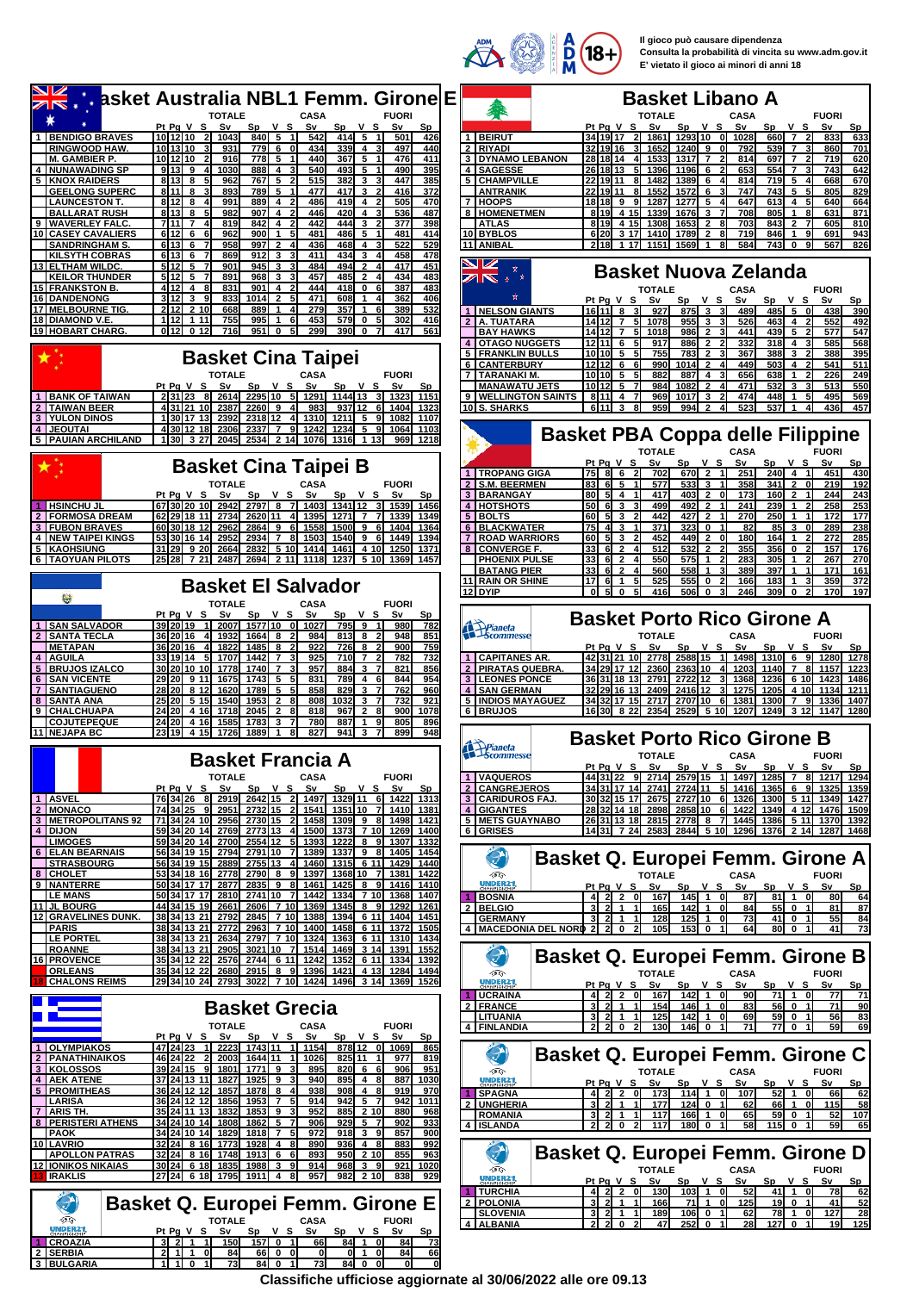| <b>Dasket Australia NBL1 Femm. Girone E</b>                                                                                                                                                                                                             |                                                                                                                                                                                                                                                                                      |
|---------------------------------------------------------------------------------------------------------------------------------------------------------------------------------------------------------------------------------------------------------|--------------------------------------------------------------------------------------------------------------------------------------------------------------------------------------------------------------------------------------------------------------------------------------|
|                                                                                                                                                                                                                                                         | <b>Basket Libano A</b>                                                                                                                                                                                                                                                               |
|                                                                                                                                                                                                                                                         |                                                                                                                                                                                                                                                                                      |
| <b>TOTALE</b><br><b>CASA</b><br><b>FUORI</b>                                                                                                                                                                                                            | <b>TOTALE</b><br><b>FUORI</b><br><b>CASA</b>                                                                                                                                                                                                                                         |
| Pt Pg V S Sv<br>Sp<br>v s<br>S٧<br>Sp<br>v s<br>Sν<br>Sp                                                                                                                                                                                                | Pt Pa V S<br>v s<br>S٧<br>v s<br>S٧<br>S٧<br>Sp<br>Sp<br>Sp                                                                                                                                                                                                                          |
| 10 12 10<br>1 BENDIGO BRAVES<br>-21<br>1043<br>840 5<br>542<br>414<br>5<br>501<br>426<br>$\vert$ 1                                                                                                                                                      | <b>1 BEIRUT</b><br>34 19 17<br>-2 I<br>1861<br>1293 10<br>1028<br>660 7<br>$\overline{2}$<br>833<br>633<br>- ol                                                                                                                                                                      |
| <b>RINGWOOD HAW</b><br>10 13 10<br>931<br>779 6 0<br>434<br>339<br>$\overline{a}$<br>497<br>440<br>778<br><b>M. GAMBIER P.</b><br>10 12 10<br>916<br>$5 \quad 1$<br>440<br>367<br>5<br>476<br>411<br>-1                                                 | 2 RIYADI<br>32 19 16<br>3 1652<br>$1240$ 9<br>792<br>539<br>860<br>701<br>0l<br>$\overline{7}$<br>3<br><b>3 IDYNAMO LEBANON</b><br>28 18 14<br>4 1533<br>1317 <b>1</b><br>$\overline{7}$<br>814<br>697<br>$\overline{7}$<br>$\overline{2}$<br>719<br>620<br>$\overline{\phantom{a}}$ |
| <b>NUNAWADING SP</b><br>9 13 9<br>1030<br>888<br>$\overline{4}$<br>540<br>493<br>490<br>395<br>3<br>5<br>$\mathbf{1}$                                                                                                                                   | 4 SAGESSE<br>26 18 13<br>1396<br>1196<br>6<br>653<br>554<br>743<br>642<br>51<br>$\overline{7}$<br>3                                                                                                                                                                                  |
| 8138<br>767 5<br>515<br>382<br>447<br>385<br><b>5 KNOX RAIDERS</b><br>962<br>3<br>٩<br>2                                                                                                                                                                | 5 CHAMPVILLE<br>221911<br>1389<br>719I<br>668<br>670<br>1482<br>6<br>814<br>5<br>$\overline{4}$<br>8I<br>ΔI                                                                                                                                                                          |
| <b>GEELONG SUPERC</b><br>8 11<br>893<br>789<br>5<br>477<br>417<br>3<br>416<br>372<br>8                                                                                                                                                                  | <b>ANTRANIK</b><br>221911<br>1572<br>747<br>743<br>5<br>805<br>829<br>1552<br>6<br>5<br>8I                                                                                                                                                                                           |
| 812<br>889<br>$\overline{4}$<br>486<br>419<br>505<br>470<br><b>LAUNCESTON T.</b><br>8<br>991<br>4<br>2                                                                                                                                                  | 7 HOOPS<br>1277<br>5<br>647<br>5<br>640<br>18 18 9<br>1287<br>613<br>4<br>664<br>91                                                                                                                                                                                                  |
| <b>BALLARAT RUSH</b><br>813<br>982<br>$907$ 4 2<br>446<br>420<br>$\overline{\mathbf{4}}$<br>536<br>487<br>8<br>٩                                                                                                                                        | 8   HOMENETMEN<br>8 19 4 15 1339<br>1676<br>3 <sub>7</sub><br>708<br>805<br>$\mathbf{1}$<br>631<br>8<br>871                                                                                                                                                                          |
| <b>WAVERLEY FALC</b><br><b>7111</b><br>819<br>842<br>4 <sub>2</sub><br>442<br>444<br>3<br>377<br>398<br>$\overline{7}$<br>$\overline{\mathbf{2}}$<br>9                                                                                                  | <b>ATLAS</b><br>8 19 4 15<br>1308<br>1653<br>$\overline{2}$<br>703<br>843<br>$\overline{2}$<br>605<br>810<br>-81<br>$\overline{7}$                                                                                                                                                   |
| 6 12<br>486<br>10 CASEY CAVALIERS<br>6<br>962<br>900<br>$\mathbf{1}$<br>5 <sub>5</sub><br>481<br>481<br>414<br>5<br>$\mathbf{1}$                                                                                                                        | 10 BYBLOS<br>6 20 3 17<br>1410<br>$\overline{2}$<br>8<br>719<br>846<br>691<br>1789<br>1<br>9<br>943                                                                                                                                                                                  |
| 6 13<br>958<br>997<br>$\overline{2}$<br>436<br>468<br>522<br>529<br><b>SANDRINGHAM S.</b><br>6<br>4<br>4                                                                                                                                                | 11 ANIBAL<br>218 1 17 1151<br>1569<br>584<br>743 0<br>567<br>$\blacktriangleleft$<br>81<br>9<br>826                                                                                                                                                                                  |
| <b>KILSYTH COBRAS</b><br>613<br>869<br>912<br>3<br>411<br>434<br>3<br>458<br>478<br>6<br>3<br>512<br>494<br>901<br>945<br>$\mathbf{3}$<br>484<br>$\overline{2}$<br>417<br>451<br>ELTHAM WILDC.<br>5<br>13 <sup>1</sup>                                  | $\rightarrow$                                                                                                                                                                                                                                                                        |
| <b>KEILOR THUNDER</b><br>5 12<br>891<br>968<br>$\mathbf{3}$<br>457<br>485<br>$\overline{2}$<br>434<br>483<br>5<br>$\overline{7}$<br>$\overline{4}$                                                                                                      | <b>Basket Nuova Zelanda</b><br>↗ष<br>÷                                                                                                                                                                                                                                               |
| 15 FRANKSTON B.<br>412<br>831<br>901<br>4 <sub>2</sub><br>444<br>418<br>$\mathbf 0$<br>387<br>483<br>$\overline{4}$<br>-81<br>- 61                                                                                                                      | <b>FUORI</b><br>TOTALE<br><b>CASA</b>                                                                                                                                                                                                                                                |
| 3112<br>3<br>$\overline{2}$<br>5<br>471<br>833<br>1014<br>608<br>362<br>406<br>16 DANDENONG<br>91<br>1<br>$\overline{4}$                                                                                                                                | Pt Pg V S<br>Sv<br>v s<br>v s<br>Sν<br>Sp<br>S٧<br>Sp<br>Sp                                                                                                                                                                                                                          |
| 17 MELBOURNE TIG.<br>2 1 2<br>2 10<br>668<br>279<br>357<br>389<br>532<br>889<br>41<br>$\mathbf{1}$<br>6<br>1                                                                                                                                            | 1   NELSON GIANTS<br>16 11 8<br>927<br>$875$ 3<br>489<br>485 5<br>438<br>390<br>31<br>$\mathbf{0}$                                                                                                                                                                                   |
| 18 DIAMOND V.E<br>1 1 2<br>755<br>995<br>453<br>579<br>302<br>1 1 1<br>1<br>6<br>$\mathbf 0$<br>5<br>416                                                                                                                                                | A. TUATARA<br>$14$ 12 7<br>955<br>$\mathbf{3}$<br>463<br>$\overline{2}$<br>526<br>$\overline{4}$<br>$\overline{2}$<br>552<br>492<br>1078                                                                                                                                             |
| 0 <sub>12</sub><br>299<br>19 HOBART CHARG.<br>0 <sub>12</sub><br>716<br>951<br>$\mathbf 0$<br>5 <sub>5</sub><br>390 0<br>$\overline{7}$<br>417<br>561                                                                                                   | <b>BAY HAWKS</b><br>14 12 7<br>986<br>$\overline{2}$<br>439<br>5<br>$\overline{2}$<br>577<br>1018<br>441<br>547<br>51                                                                                                                                                                |
|                                                                                                                                                                                                                                                         | 4   OTAGO NUGGETS<br>$12$ 11 6<br>917<br>886<br>$\overline{2}$<br>332<br>318<br>585<br>4 3<br>568<br>51                                                                                                                                                                              |
| <b>Basket Cina Taipei</b>                                                                                                                                                                                                                               | 783<br>$\overline{2}$<br>5 FRANKLIN BULLS<br>10 10 5<br>755<br>367<br>388<br>3<br>$\mathbf{2}$<br>388<br>51<br>395<br>$\overline{2}$<br>$\overline{2}$<br>-61<br>$\Delta$                                                                                                            |
| <b>TOTALE</b><br><b>FUORI</b><br><b>CASA</b>                                                                                                                                                                                                            | 6 CANTERBURY<br>$12$ 12 6<br>990<br>1014<br>449<br>503<br>541<br>511<br>4<br>7 TARANAKI M.<br>$10$ 10 5<br>882<br>887<br>656<br>638<br>226<br>249<br>51<br>4<br>$\mathbf{1}$                                                                                                         |
| Pt Pg V S Sv<br>Sv<br>v s<br>Sp<br>v s<br>Sp<br>Sv<br>Sp                                                                                                                                                                                                | 1082<br>$\overline{2}$<br>532<br>3<br>513<br>550<br><b>MANAWATU JETS</b><br>$10112$ 5<br>984<br>471<br>3                                                                                                                                                                             |
| 2 31 23 8 2614 2295 10 5 1291 1144 13 3 1323<br><b>1 BANK OF TAIWAN</b><br>1151                                                                                                                                                                         | 9   WELLINGTON SAINTS<br>8 11 4<br>969<br>1017<br>3<br>474<br>448<br>495<br>569<br>1<br>5<br>-7                                                                                                                                                                                      |
| <b>TAIWAN BEER</b><br>43121 10 2387<br>$2260$ 9<br>983<br>937112<br>1323<br>41<br>- 6 I<br>1404                                                                                                                                                         | 10 S. SHARKS<br>61113<br>959<br>994I<br>523<br>537<br>436<br>457<br>81<br>$\mathbf{z}$<br>4                                                                                                                                                                                          |
| 130 17 13 2392<br><b>3 YULON DINOS</b><br>2318 12<br>4 <sup>1</sup><br><b>1310</b><br>$1211$ 5<br>9I<br>1082<br>1107                                                                                                                                    |                                                                                                                                                                                                                                                                                      |
| 4 JEOUTAL<br>4 30 12 18<br>2306<br>1234<br>2337<br>$\overline{7}$<br>91<br>1242<br>5<br>91<br>1064<br>1103                                                                                                                                              | <b>Basket PBA Coppa delle Filippine</b>                                                                                                                                                                                                                                              |
| 5 PAUIAN ARCHILAND<br>1 30  3 27  2045  2534  2 14 <br>1076I<br><b>1316</b><br>1218<br>1 13<br>969                                                                                                                                                      |                                                                                                                                                                                                                                                                                      |
|                                                                                                                                                                                                                                                         | <b>TOTALE</b><br><b>CASA</b><br><b>FUORI</b>                                                                                                                                                                                                                                         |
| <b>Basket Cina Taipei B</b>                                                                                                                                                                                                                             | Pt Pg V S<br>S٧<br>Sp<br>v s<br>S٧<br>Sp V S<br>Sv<br>Sp<br>1   TROPANG GIGA<br>75<br>$670$ 2<br>$240$ 4 1<br>8 6<br>-21<br>702<br>251<br>451<br>430<br>$\mathbf{1}$                                                                                                                 |
| <b>TOTALE</b><br><b>FUORI</b><br><b>CASA</b>                                                                                                                                                                                                            | <b>S.M. BEERMEN</b><br>83<br>615<br>533<br>3<br>358<br>$341$ 2<br>οl<br>219<br>$\overline{2}$<br>577<br>192                                                                                                                                                                          |
| Pt Pa V S<br>S٧<br>Sp<br>v s<br>S٧<br>v s<br>Sv<br>Sp<br>Sp                                                                                                                                                                                             | 3 BARANGAY<br>417<br>403I<br>173<br>160<br>$\overline{2}$<br>244<br>243<br>80 l<br>51 4<br>$\overline{2}$<br>0<br>$\mathbf{1}$                                                                                                                                                       |
| $1341$ 12<br><b>HSINCHU JL</b><br>67 30 20 10<br>2942<br>2797 8<br>- 7<br>1403I<br>31<br>1539<br>1456                                                                                                                                                   | $\overline{2}$<br><b>4 HOTSHOTS</b><br>492<br>241<br>239<br>258<br>253<br>50<br>61<br>3<br>499<br>$\mathbf{1}$<br>$\mathbf{2}$                                                                                                                                                       |
| 2 FORMOSA DREAM<br>62 29 18 11 2734 2620 11<br>4 1395<br>$1271$ 7 7<br>1339<br>1349                                                                                                                                                                     | 5 BOLTS<br>60<br>51<br>442<br>427<br>$\overline{2}$<br>270<br>250<br>$\vert$<br>172<br>3<br>$\mathbf{1}$<br>177                                                                                                                                                                      |
| <b>3 FUBON BRAVES</b><br>60 30 18 12<br>2962<br>$2864$ 9<br>-61<br>1558<br>1500<br>9<br>1404<br>1364<br>- 61                                                                                                                                            | 6 BLACKWATER<br>75<br>371<br><b>3231</b><br>0 <sub>1</sub><br>82<br>85<br>3<br>$\mathbf{0}$<br>289<br>238<br>41<br>3                                                                                                                                                                 |
| <b>4   NEW TAIPEI KINGS</b><br>53 30 16 14<br>2952<br>2934<br>$\overline{7}$<br>8<br>6<br>1449<br>1503<br>1540<br>9<br>1394                                                                                                                             | 7   ROAD WARRIORS<br>60<br>51<br>3<br>452<br>449<br>$\overline{2}$<br>180<br>164<br>$\mathbf{2}$<br>272<br>$\mathbf{0}$<br>$\mathbf{1}$<br>285                                                                                                                                       |
| 5 KAOHSIUNG<br>31 29 9 20<br>2832<br>5 10<br>1461<br>4 10<br>1250<br>2664<br><b>1414</b><br>1371                                                                                                                                                        | 8 CONVERGE F.<br>33<br>$\overline{2}$<br>512<br>532<br>$\overline{2}$<br>355<br>356<br>157<br>6<br>$\mathbf 0$<br>$\mathbf{2}$<br>176                                                                                                                                                |
| 6 TAOYUAN PILOTS<br>25 28 7 21 2487 2694 2 11<br>1118I<br>1237<br><b>5 10</b><br>1369<br>1457                                                                                                                                                           | <b>PHOENIX PULSE</b><br>550<br><b>575</b><br>283<br>305<br>267<br>270<br>33 <sub>l</sub><br>6 2<br>$\mathbf{1}$<br>$\mathbf{1}$<br>2<br>33<br>558<br>$\mathbf{1}$<br>389<br>397<br>171<br><b>BATANG PIER</b><br>$\overline{2}$<br>560<br>1<br>161<br>-61                             |
|                                                                                                                                                                                                                                                         | 11 RAIN OR SHINE<br>17<br>525<br><b>555</b><br>$\mathbf 0$<br>166<br>183<br>359<br>372<br>-61<br>$\overline{1}$<br>1<br>3                                                                                                                                                            |
| <b>Basket El Salvador</b>                                                                                                                                                                                                                               | 12 DYIP<br>- ol<br>-51<br>$\mathbf{0}$<br>416<br><b>506</b><br>$\mathbf 0$<br>246<br>309<br>$\mathbf{0}$<br>170<br>197<br>51<br>3I                                                                                                                                                   |
| 鶷<br><b>TOTALE</b><br><b>CASA</b><br><b>FUORI</b>                                                                                                                                                                                                       |                                                                                                                                                                                                                                                                                      |
| v s<br>v s<br>Pt Pa V S<br>S٧<br><b>Sp</b><br>S٧<br>Sp<br>Sν<br>Sp                                                                                                                                                                                      | <b>Basket Porto Rico Girone A</b>                                                                                                                                                                                                                                                    |
| <b>SAN SALVADOR</b><br>39 20 19<br>2007<br>1577 10<br>795<br>9<br>980<br>- Ol<br>1027<br>$\vert$ 1<br>782<br>-1                                                                                                                                         | Pianeta<br>Scommesse                                                                                                                                                                                                                                                                 |
| <b>SANTA TECLA</b><br>36 20 16<br>1932<br>$1664$ 8<br>813<br>948<br>851<br>984<br>8<br>41                                                                                                                                                               | <b>TOTALE</b><br><b>CASA</b><br><b>FUORI</b>                                                                                                                                                                                                                                         |
| <b>METAPAN</b><br>36 20 16<br>922<br>726<br>900<br>1822<br>1485<br>8<br>8<br>$\overline{2}$<br>759                                                                                                                                                      | Pt Pg V S<br>S٧<br>v s<br>S٧<br>Sp<br>v s<br>Sv<br>Sp<br>Sp                                                                                                                                                                                                                          |
| 33 19 14<br>1707<br>925<br>710<br>$\overline{2}$<br>782<br>732<br><b>AGUILA</b><br>1442<br>$\overline{7}$<br>$\overline{7}$<br>3<br>5 BRUJOS IZALCO<br>30 20 10 10<br>1740<br>957<br>884<br>821<br>1778<br>$\overline{7}$<br>3<br>$\overline{7}$<br>856 | 1 CAPITANES AR.<br>42 31 21 10 2778<br>2588 15<br>1 1498<br>1310 6 9<br>1280<br>1278<br>2 PIRATAS QUEBRA<br>34 29 17 12 2360<br>2363110<br>4 1203<br>1140<br>1157<br>$\overline{7}$<br>8<br>1223                                                                                     |
| <b>SAN VICENTE</b><br>29 20 9 11 1675<br>$\overline{1743}$ 5 5<br>831<br>789<br>844<br>954<br>4 6                                                                                                                                                       | 3 LEONES PONCE<br>36 31 18 13 2791<br>272212<br>3 1368<br>1236<br>1423<br>6 10<br>1486                                                                                                                                                                                               |
| 5 <sub>5</sub><br>5 <sub>5</sub><br>858<br>829<br>$\overline{\mathbf{3}}$<br>762<br>960<br><b>SANTIAGUENO</b><br>28 20<br>8 1 2<br>1789<br>$\overline{7}$<br>$\mathbf{7}$<br>1620                                                                       | 4 SAN GERMAN<br>32 29 16 13<br>2409<br>2416 12<br>3<br>1275<br>4 10<br>1134<br>1211<br>1205                                                                                                                                                                                          |
| 25 20<br>5 15<br>1540<br>$\overline{2}$<br>808<br>1032<br>3<br>$\overline{7}$<br>732<br>921<br>8 <sup>1</sup><br><b>SANTA ANA</b><br>1953<br>8                                                                                                          | 5 IINDIOS MAYAGUEZ<br>34 32 17 15<br>2717<br>2707 10<br>1381<br>1300<br>$\overline{7}$<br>91<br>1336<br>- 6 I<br>1407                                                                                                                                                                |
| 9 CHALCHUAPA<br>24 20 4 16<br>1718<br>818<br>967<br>$\overline{2}$<br>900<br>1078<br>2045<br>$\overline{2}$<br>81<br>-81                                                                                                                                | <b>6 BRUJOS</b><br>16 30 8 22 2354<br>2529 5 10 1207<br>1249<br>3 12 1147<br>1280                                                                                                                                                                                                    |
| 24 20<br>4 16<br>780<br>887<br>805<br><b>COJUTEPEQUE</b><br>1585<br>1783<br>3<br>9<br>896<br>1                                                                                                                                                          |                                                                                                                                                                                                                                                                                      |
| 11 NEJAPA BC<br>23 19 4 15<br>1726<br>1889<br>827<br>941<br>899<br>3<br>948                                                                                                                                                                             |                                                                                                                                                                                                                                                                                      |
|                                                                                                                                                                                                                                                         |                                                                                                                                                                                                                                                                                      |
|                                                                                                                                                                                                                                                         | <b>Basket Porto Rico Girone B</b>                                                                                                                                                                                                                                                    |
| <b>Basket Francia A</b>                                                                                                                                                                                                                                 | Pianeta<br>Scommesse<br><b>FUORI</b><br><b>TOTALE</b><br><b>CASA</b>                                                                                                                                                                                                                 |
|                                                                                                                                                                                                                                                         | Pt Pg V S Sv<br>v s<br>Sv<br>v s<br>Sv<br><b>Sp</b><br>Sp<br>Sp.                                                                                                                                                                                                                     |
| <b>TOTALE</b><br><b>CASA</b><br><b>FUORI</b><br>Pt Pg V S Sv<br>Sp V S Sv<br>Sp V S Sv<br>Sp                                                                                                                                                            | 1 VAQUEROS<br>44 31 22 9 2714<br>2579 15 1 1497 1285 7 8 1217 1294<br>2 CANGREJEROS<br>34 31 17 14 2741 2724 11 5 1416<br>6 9 1325 1359<br>1365                                                                                                                                      |
| 1 ASVEL<br>76 34 26<br>8 2919 2642 15 2 1497 1329 11 6 1422 1313                                                                                                                                                                                        | <b>3 CARIDUROS FAJ</b><br>30 32 15 17 2675<br>2727 10 6 1326<br>1300<br>5 11 1349 1427                                                                                                                                                                                               |
| <b>MONACO</b><br>74 34 25 9<br>1351 10 7<br>2951 2732 15<br>-21<br>1541<br>1410 1381<br>2 <sup>2</sup>                                                                                                                                                  | 4 GIGANTES<br>2858 10 6 1422<br>28 32 14 18 2898<br>1349<br>4 12 1476 1509                                                                                                                                                                                                           |
| 71 34 24 10 2956 2730 15<br><b>3 IMETROPOLITANS 92</b><br>$1309$ $98$<br>-21<br>1458<br>1498 1421                                                                                                                                                       | 5 METS GUAYNABO<br>26 31 13 18 2815 2778 8 7 1445<br>1386 5 11 1370 1392                                                                                                                                                                                                             |
| 4 DIJON<br>59 34 20 14 2769 2773 13 4 1500 1373 7 10 1269 1400                                                                                                                                                                                          | 6 GRISES<br>14 31 7 24 2583 2844 5 10 1296 1376 2 14 1287 1468                                                                                                                                                                                                                       |
| $5$   1393<br>59 34 20 14 2700<br>2554 12<br>1222<br>8<br>9<br>1307<br><b>LIMOGES</b><br>1332                                                                                                                                                           |                                                                                                                                                                                                                                                                                      |
| 6 ELAN BEARNAIS<br>56 34 19 15 2794 2791 10 7 1389<br>$1337$ 9 8<br>1405<br>1454<br><b>STRASBOURG</b><br>56 34 19 15 2889<br>2755 13<br>4 1460 1315 6 11<br>1429<br>1440                                                                                | 21<br><b>Basket Q. Europei Femm. Girone A</b>                                                                                                                                                                                                                                        |
| 8 CHOLET<br>53 34 18 16<br>2790 8 9<br>1397<br>1368 10 7<br>2778<br>1381<br>1422                                                                                                                                                                        | Œ<br><b>TOTALE</b><br><b>CASA</b><br><b>FUORI</b>                                                                                                                                                                                                                                    |
| 9 NANTERRE<br>50 34 17 17 2877<br>2835 9 8 1461<br>1425 8 9 1416 1410                                                                                                                                                                                   | <b>UNDER21</b><br>Pt Pg V S Sv<br>Sp V S Sv<br>Sp V S<br>Sv<br><u>Sp</u>                                                                                                                                                                                                             |
| <b>LE MANS</b><br>50 34 17 17 2810<br>2741 10 7 1442 1334 7 10 1368 1407                                                                                                                                                                                | $4$ 2 2<br>ol<br>167<br>$145$ 1 0<br>87<br>$81$ 1<br>64<br>1 BOSNIA<br>0<br>80                                                                                                                                                                                                       |
| 2606 7 10 1369<br>11 JL BOURG<br>44 34 15 19<br>1345<br>8 9<br>1292<br>2661<br>1261                                                                                                                                                                     | $3$ 2 1 1<br>2 BELGIO<br>165<br>142   1 0<br>84<br>55 0 1<br>81<br>87                                                                                                                                                                                                                |
| <b>12 GRAVELINES DUNK.</b><br>38 34 13 21 2792<br>2845 7 10 1388<br>1394 6 11 1404 1451                                                                                                                                                                 | <b>GERMANY</b><br>$3$ 2 1 1<br>128<br>$125$ 1 0<br>73<br>41 0 1<br>55<br>84                                                                                                                                                                                                          |
| 38 34 13 21 2772<br>2963 7 10 1400 1458 6 11 1372 1505<br><b>PARIS</b><br>2797 7 10<br><b>LE PORTEL</b><br>38 34 13 21 2634<br>1324<br>1363<br>6 11<br>1310<br>1434                                                                                     | 4 MACEDONIA DEL NORD 2 2 0<br>$153$ 0<br>800<br>105<br>11<br>64<br>$\overline{1}$<br>41<br>73<br>-21                                                                                                                                                                                 |
| <b>ROANNE</b><br>38 34 13 21 2905<br>3021 10 7<br>1514 1469 3 14 1391 1552                                                                                                                                                                              |                                                                                                                                                                                                                                                                                      |
| 16 PROVENCE<br>35 34 12 22 2576 2744 6 11 1242 1352<br>6 11 1334 1392                                                                                                                                                                                   | $\mathcal{P}$<br><b>Basket Q. Europei Femm. Girone B</b>                                                                                                                                                                                                                             |
| 35 34 12 22 2680 2915 8 9<br><b>ORLEANS</b><br>1396<br>1421<br>4 13<br>1284<br>1494                                                                                                                                                                     | 颂合<br><b>TOTALE</b><br>CASA<br><b>FUORI</b>                                                                                                                                                                                                                                          |
| <b>CHALONS REIMS</b><br> 29 34 10 24  2793  3022  7 10  1424  1496  3 14  1369  1526                                                                                                                                                                    | UNDER21<br>Pt Pg V S Sv<br>Sv<br>$Sp$ V S<br>Sp V S<br>Sv<br>Sp                                                                                                                                                                                                                      |
|                                                                                                                                                                                                                                                         | <b>UCRAINA</b><br>4 2 2 0 167<br>142   1 0<br>90<br>71 1 0<br>-77<br>71                                                                                                                                                                                                              |
| <b>Basket Grecia</b>                                                                                                                                                                                                                                    | 2 FRANCE<br>3 2 1 1<br>154<br>146 1 0<br>83<br>56 0 1<br>71<br>90                                                                                                                                                                                                                    |
| <b>TOTALE</b><br><b>CASA</b><br><b>FUORI</b>                                                                                                                                                                                                            | $3$ 2 1 1<br>$142$ 1 0<br>59 0 1<br><b>LITUANIA</b><br>125<br>69<br>56<br>83<br>-11                                                                                                                                                                                                  |
| Pt Pg V S Sv<br>Sp V S Sv<br>$Sp$ $V$ $S$<br>Sv<br><b>Sp</b>                                                                                                                                                                                            | $2$ 2 0<br>4 FINLANDIA<br>130 <sup>1</sup><br>146 0<br>71<br>$77$ 0<br>-21<br>-1 I<br>59<br>69                                                                                                                                                                                       |
| 1 OLYMPIAKOS<br>47 24 23<br>1 2223 1743 11<br>1 1154<br>878 12 0 1069<br>865                                                                                                                                                                            |                                                                                                                                                                                                                                                                                      |
| 46 24 22 2 2003<br>1644 11 1<br>2 PANATHINAIKOS<br>825 11 1<br>819<br>1026<br>977                                                                                                                                                                       | Э<br><b>Basket Q. Europei Femm. Girone C</b>                                                                                                                                                                                                                                         |
| 3 KOLOSSOS<br>39 24 15 9 1801 1771 9<br>31<br>895<br>$820$ 6 6<br>906<br>951                                                                                                                                                                            | DG<br><b>TOTALE</b><br><b>CASA</b><br><b>FUORI</b>                                                                                                                                                                                                                                   |
| 4 AEK ATENE<br>37 24 13 11 1827<br>$1925$ 9 3<br>$895$ 4 8<br>887 1030<br>940                                                                                                                                                                           | <b>UNDER21</b><br>Pt Pg V S Sv<br>Sp V S Sv<br>Sp V S Sv<br>Sp.                                                                                                                                                                                                                      |
| 5 PROMITHEAS<br>$1878$ 8 4<br>36 24 12 12<br>1857<br>938<br>908<br>48<br>919<br>970<br>942<br>1011<br>914<br>5 7                                                                                                                                        | <b>SPAGNA</b><br>4220<br>114 1 0 107<br>$52$ 1 0<br>173<br>66<br>62                                                                                                                                                                                                                  |
| 36 24 12 12 1856<br>LARISA<br>1953 7 5<br>942<br>7 ARIS TH.<br>35 24 11 13 1832<br>$1853$ 9 3<br>952<br>885 2 10<br>880<br>968                                                                                                                          | 2 UNGHERIA<br>3 <sub>l</sub><br>$124$ 0 1<br>66<br>58<br><b>21</b> 1<br>-1 I<br>177<br>62<br>$\mathbf{1}$<br>$\mathbf{0}$<br>115                                                                                                                                                     |
| <b>8 PERISTERI ATHENS</b><br>1862 5 7<br>929<br>5 7<br>902<br>933<br>34 24 10 14<br>1808<br>906                                                                                                                                                         | $3 \ 2 \ 1 \ 1$<br><b>ROMANIA</b><br>166 1 0<br>59 0 1<br>107<br>117<br>65<br>52<br>4 ISLANDA<br>2 2 0 2<br>117<br>$180$ 0 $1$<br>58<br>$115$ 0 1<br>59                                                                                                                              |
| 34 24 10 14 1829<br>972<br>$918$ 3 9<br>857<br><b>PAOK</b><br>1818 7 5<br>900                                                                                                                                                                           | 65                                                                                                                                                                                                                                                                                   |
| 10 LAVRIO<br>32 24 8 16 1773<br>1928 4 8<br>$936$ 4 8<br>890<br>883<br>992                                                                                                                                                                              |                                                                                                                                                                                                                                                                                      |
| $32\,24\,$ 8 16<br><b>APOLLON PATRAS</b><br>1748<br>$1913$ 6 6<br>893<br>950<br>210<br>855<br>963                                                                                                                                                       | 21<br>Basket Q. Europei Femm. Girone D                                                                                                                                                                                                                                               |
| <b>12 IONIKOS NIKAIAS</b><br>30 24 6 18 1835<br>1988 3 9<br>914<br>968 3 9<br>921<br>1020                                                                                                                                                               | Œ<br><b>TOTALE</b><br><b>CASA</b><br><b>FUORI</b>                                                                                                                                                                                                                                    |
| <b>IRAKLIS</b><br>27 24 6 18 1795 1911 4 8<br>957<br>982 2 10<br>838<br>929                                                                                                                                                                             | <b>UNDER21</b><br><u>Pt Pg V S Sv</u><br>Sp V S Sv<br>Sp V S Sv<br>Sp                                                                                                                                                                                                                |
|                                                                                                                                                                                                                                                         | 4220<br>1 TURCHIA<br>$103$ 1 0<br>52<br>$41$ 1<br>$\overline{\mathbf{0}}$<br>78<br>130<br>62                                                                                                                                                                                         |
| Θ<br><b>Basket Q. Europei Femm. Girone E</b>                                                                                                                                                                                                            | $3$ 2 1 1<br>71 1 0 125<br>19 0 1<br>2   POLONIA<br>166<br>41<br>52<br>$3$ 2 1 1<br>127                                                                                                                                                                                              |
| D<br><b>TOTALE</b><br>CASA<br><b>FUORI</b>                                                                                                                                                                                                              | <b>SLOVENIA</b><br>$106$ 0 1<br>78 1 0<br>189<br>62<br>28<br>2202<br>$252$ 0 1<br>4 ALBANIA<br>28<br>127 0 1<br>19<br>47<br>125                                                                                                                                                      |
| UNDER21<br>Sp V S Sv<br>$Sp$ $V$ S<br>Pt Pg V S Sv<br>Sv<br>Sp                                                                                                                                                                                          |                                                                                                                                                                                                                                                                                      |
| $157$ 0 1<br>1 CROAZIA<br>$3$ 2 1 1<br>150<br>$84$ 1 0<br>66<br>84<br>73<br>2 SERBIA<br>2 1 1 0<br>84<br>66 0 0<br>$0$   1<br>0 I<br>84<br>66<br>01                                                                                                     |                                                                                                                                                                                                                                                                                      |

**Classifiche ufficiose aggiornate al 30/06/2022 alle ore 09.13**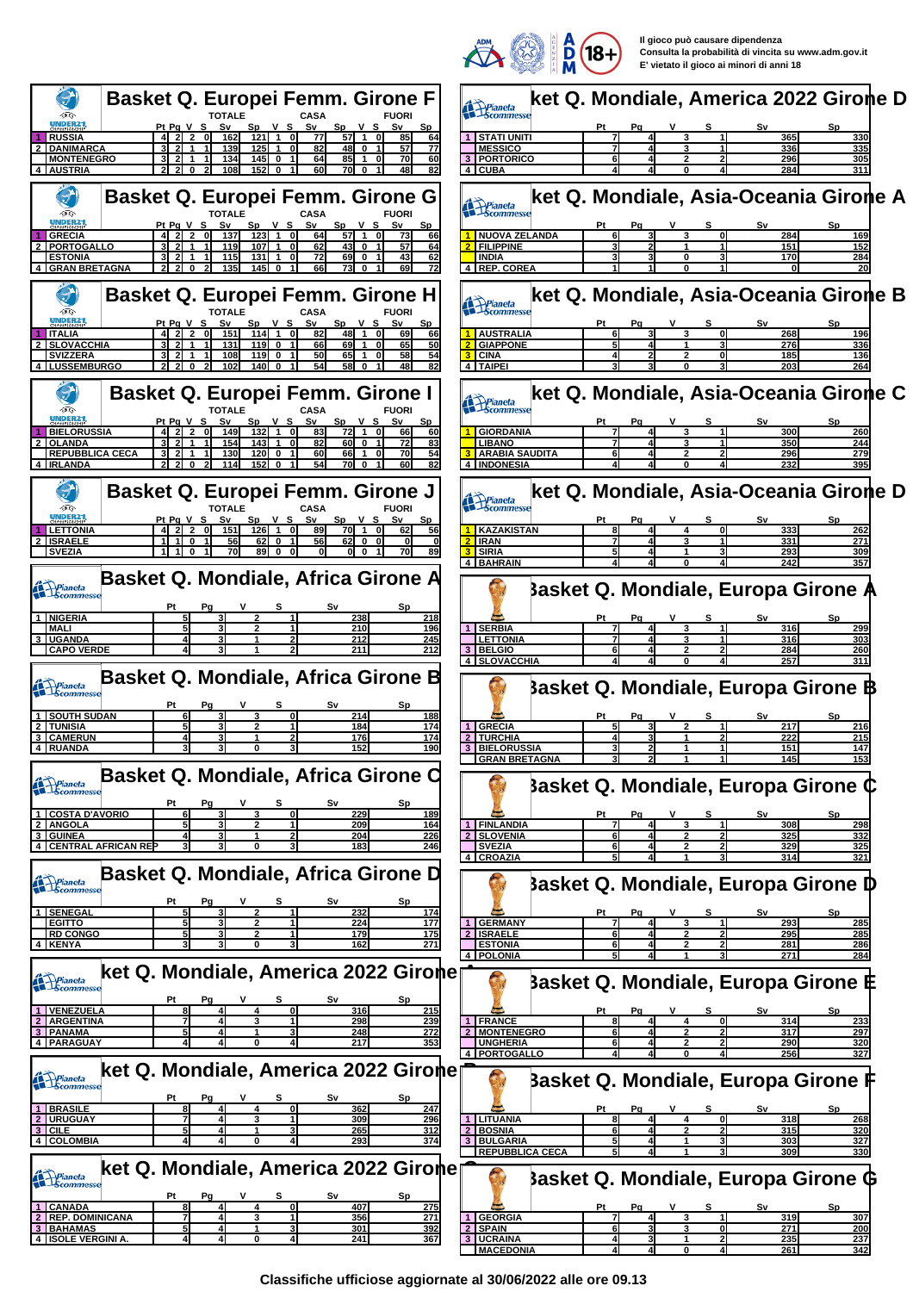

|                                                                                                                                                                                 | <b>Contract Contract Contract Contract Contract Contract Contract Contract Contract Contract Contract Contract Contract Contract Contract Contract Contract Contract Contract Contract Contract Contract Contract Contract Contr</b><br><b>THEFT</b> |
|---------------------------------------------------------------------------------------------------------------------------------------------------------------------------------|------------------------------------------------------------------------------------------------------------------------------------------------------------------------------------------------------------------------------------------------------|
| <b>Basket Q. Europei Femm. Girone F</b>                                                                                                                                         | ket Q. Mondiale, America 2022 Girone D<br>Pianeta<br>Scommesse                                                                                                                                                                                       |
| ĢG<br><b>FUORI</b><br><b>NDER2</b><br>PtPgVS<br>Sv<br>S٧<br>Sp V S<br>Sp V S<br>Sv                                                                                              | S٧<br>Sp<br>Pa                                                                                                                                                                                                                                       |
| $57$ 1<br>$2^{\degree}$<br>121<br>85<br><b>RUSSIA</b><br>162<br>$\overline{1}$<br>οI<br>77<br>64                                                                                | STATI UNITI<br>365<br>330                                                                                                                                                                                                                            |
| 48I<br>77<br><b>DANIMARCA</b><br>139<br>125<br>82<br>$\Omega$<br>57<br><b>MONTENEGRO</b><br>134<br>145<br>64<br>85<br>70<br>60<br>0<br>-1                                       | <b>MESSICO</b><br>335<br>336<br>3<br>3 PORTORICO<br>305<br>296                                                                                                                                                                                       |
| 152<br>82<br><b>AUSTRIA</b><br>108<br>60<br>70 I<br>$\mathbf 0$<br>48<br>0                                                                                                      | 284<br>4 CUBA<br>311                                                                                                                                                                                                                                 |
| <b>Basket Q. Europei Femm. Girone G</b><br>ÐG                                                                                                                                   | ket Q. Mondiale, Asia-Oceania Girone A<br>Pianeta<br>Scommess                                                                                                                                                                                        |
| <b>CASA</b><br><b>TOTALE</b><br><b>FUORI</b><br>Pt Pg V S<br>$V_S$<br>Sv<br>Sp<br>V S<br>Sv<br>S٧<br><u>Sp</u>                                                                  | <u>Sv</u><br>Pa<br>s                                                                                                                                                                                                                                 |
| ol<br>64<br>57 1<br><b>GRECIA</b><br>137<br>123<br>$\overline{1}$<br>73<br>66<br><b>PORTOGALLO</b><br>107<br>43<br>57<br>119<br>62<br>$\mathbf 0$<br>64                         | <b>NUOVA ZELANDA</b><br>284<br>0<br>169<br><b>FILIPPINE</b><br>151<br>152                                                                                                                                                                            |
| <b>ESTONIA</b><br>115<br>131<br>72<br>69<br>43<br>62<br>0<br>0<br>73 O<br>69<br><b>GRAN BRETAGNA</b><br>0<br>135<br>145<br>66                                                   | 170<br><b>INDIA</b><br>284<br>4 REP. COREA                                                                                                                                                                                                           |
|                                                                                                                                                                                 |                                                                                                                                                                                                                                                      |
| <b>Basket Q. Europei Femm. Girone H</b>                                                                                                                                         | ket Q. Mondiale, Asia-Oceania Girone B                                                                                                                                                                                                               |
| Dig<br>TOTALE<br>CASA<br><b>FUORI</b><br><b>NDER2</b>                                                                                                                           | Prianeta<br>Scommesse                                                                                                                                                                                                                                |
| Pt Pg V S<br>Sp V S<br>$Sp$ $V$ $S$<br>S٧<br>S٧<br>114<br>48<br><b>ITALIA</b><br>151<br>$\overline{1}$<br>82<br>66                                                              | s<br>S٧<br><b>AUSTRALIA</b><br>268<br>196                                                                                                                                                                                                            |
| 50<br>69<br><b>SLOVACCHIA</b><br>119<br>66<br>65<br>131<br>$\mathbf 0$<br><b>SVIZZERA</b><br>108<br>119<br>50<br>65<br>58<br>54                                                 | <b>GIAPPONE</b><br>276<br>336<br><b>CINA</b><br>185<br>136                                                                                                                                                                                           |
| <b>LUSSEMBURGO</b><br>102<br>140<br>54<br>58<br>48<br>82                                                                                                                        | 4 TAIPEI<br>203<br>264                                                                                                                                                                                                                               |
|                                                                                                                                                                                 |                                                                                                                                                                                                                                                      |
| <b>Basket Q. Europei Femm. Girone I</b><br>ĢG                                                                                                                                   | ket Q. Mondiale, Asia-Oceania Girone C<br>Prianeta                                                                                                                                                                                                   |
| CASA<br><b>FUORI</b><br>NDER21<br>Pt Pg V S<br>Sp<br>S٧<br>Sp<br>S٧<br>v s<br>v s                                                                                               |                                                                                                                                                                                                                                                      |
| 72<br>132<br><b>BIELORUSSIA</b><br>$\overline{2}$<br>149<br>$\mathbf{1}$<br>οI<br>83<br>$\mathbf{1}$<br>66<br>60<br>01<br>60 O<br><b>OLANDA</b><br>154<br>143<br>82<br>72<br>83 | 300<br><b>GIORDANIA</b><br>260<br>350<br>244<br><b>LIBANO</b><br>3                                                                                                                                                                                   |
| <b>REPUBBLICA CECA</b><br>130<br>120<br>60<br>66<br>70<br><u>54</u>                                                                                                             | 279<br><b>ARABIA SAUDITA</b><br>296                                                                                                                                                                                                                  |
| 82<br>114<br>152<br>54<br>70I<br><b>IRLANDA</b><br>$\mathbf{0}$<br>$\mathbf{0}$<br>$\mathbf 0$                                                                                  | 232<br><b>INDONESIA</b>                                                                                                                                                                                                                              |
| <b>Basket Q. Europei Femm. Girone J</b>                                                                                                                                         | ket Q. Mondiale, Asia-Oceania Girone D                                                                                                                                                                                                               |
| D<br><b>CASA</b><br>TOTAI F<br><b>FUORI</b>                                                                                                                                     | Pianeta<br>Scommesse                                                                                                                                                                                                                                 |
| Sv<br>Sp V S<br>S٧<br>Pt Pg V S<br>S٧<br><u>v s</u><br><b>Sp</b><br>0l<br>89<br>70 1 0<br><b>LETTONIA</b><br>151<br>126<br>$\overline{1}$<br>62<br>56                           | S٧<br>Sp<br><b>KAZAKISTAN</b><br>333<br>262<br>4<br>ΩI                                                                                                                                                                                               |
| <b>ISRAELE</b><br>62<br>62<br>$\mathbf 0$<br>$\mathbf 0$<br>56<br>$\mathbf 0$                                                                                                   | <b>IRAN</b><br>331<br>271                                                                                                                                                                                                                            |
| 89<br>1110<br>70<br>$\mathbf{0}$<br>ol o<br><b>70</b><br><b>SVEZIA</b><br>$\mathbf{0}$<br>89                                                                                    | <b>SIRIA</b><br>293<br>309<br><b>BAHRAIN</b><br>242<br>357                                                                                                                                                                                           |
| Basket Q. Mondiale, Africa Girone A                                                                                                                                             |                                                                                                                                                                                                                                                      |
| Prianeta                                                                                                                                                                        | <b>Basket Q. Mondiale, Europa Girone A</b>                                                                                                                                                                                                           |
| Pg<br>Sp<br>51<br>3<br>238<br><b>NIGERIA</b><br>2<br>218                                                                                                                        | v<br>s<br>S٧<br>Sp                                                                                                                                                                                                                                   |
| <b>MALI</b><br>210<br>196                                                                                                                                                       | <b>SERBIA</b><br>299<br>316                                                                                                                                                                                                                          |
| <b>UGANDA</b><br>212<br>245<br>3<br><b>CAPO VERDE</b><br>211<br>212                                                                                                             | <b>LETTONIA</b><br>316<br>303<br>3<br>3 BELGIO<br>284<br>260                                                                                                                                                                                         |
|                                                                                                                                                                                 | 4 SLOVACCHIA<br>257<br>311                                                                                                                                                                                                                           |
| Basket Q. Mondiale, Africa Girone B                                                                                                                                             | <b>Basket Q. Mondiale, Europa Girone B</b>                                                                                                                                                                                                           |
| Pianeta<br>S٧<br>Sp.                                                                                                                                                            |                                                                                                                                                                                                                                                      |
| 214<br><b>SOUTH SUDAN</b><br><u> 188</u>                                                                                                                                        |                                                                                                                                                                                                                                                      |
| <b>TUNISIA</b><br>5<br>184<br>174<br>176<br>174<br><b>CAMERUN</b><br>4                                                                                                          | 217<br><b>GRECIA</b><br>216<br>$\vert$ 1<br>2<br>222<br>215<br>$\overline{2}$<br><b>TURCHIA</b>                                                                                                                                                      |
| 152<br>190<br><b>RUAND</b>                                                                                                                                                      | <b>BIELORUSSIA</b><br>147<br>151<br>145<br><b>JURAN BRETAGNA</b><br>1531                                                                                                                                                                             |
| Basket Q. Mondiale, Africa Girone C                                                                                                                                             |                                                                                                                                                                                                                                                      |
| <b>Prianeta</b><br>Scommesse                                                                                                                                                    | Basket Q. Mondiale, Europa Girone ¢                                                                                                                                                                                                                  |
| 6<br><b>COSTA D'AVORIO</b><br>229<br>189<br>3<br>3<br>01                                                                                                                        | Sν<br>Pt<br><u>Sp</u><br>Рg<br>s                                                                                                                                                                                                                     |
| <b>ANGOLA</b><br>209<br>5<br>2<br>164                                                                                                                                           | <b>FINLANDIA</b><br>308<br>3<br>298                                                                                                                                                                                                                  |
| <b>GUINEA</b><br>204<br>226<br><b>CENTRAL AFRICAN REP</b><br>183<br>246                                                                                                         | <b>SLOVENIA</b><br>325<br>332<br><b>SVEZIA</b><br>329<br>325<br>61                                                                                                                                                                                   |
|                                                                                                                                                                                 | 4 CROAZIA<br>51<br>314<br>321                                                                                                                                                                                                                        |
| Basket Q. Mondiale, Africa Girone D<br>Prianeta<br>Scommesse                                                                                                                    | <b>Basket Q. Mondiale, Europa Girone D</b>                                                                                                                                                                                                           |
|                                                                                                                                                                                 |                                                                                                                                                                                                                                                      |
| 1 SENEGAL<br>232<br>51<br>2<br>174<br>177<br>5                                                                                                                                  | v<br>s<br>S٧<br>Sp<br>Ρt<br>Pq<br>293                                                                                                                                                                                                                |
| <b>EGITTO</b><br>224<br><b>RD CONGO</b><br>5<br>175<br>179                                                                                                                      | <b>GERMANY</b><br>285<br>1 <sup>1</sup><br><b>ISRAELE</b><br>295<br>285                                                                                                                                                                              |
| 271<br>4 KENYA<br>162                                                                                                                                                           | <b>ESTONIA</b><br>281<br>61<br>286<br>4   POLONIA<br>271<br>284                                                                                                                                                                                      |
| ket Q. Mondiale, America 2022 Gironer                                                                                                                                           |                                                                                                                                                                                                                                                      |
| Pianeta<br>Scommesse                                                                                                                                                            | Basket Q. Mondiale, Europa Girone E                                                                                                                                                                                                                  |
| s<br>S٧<br>Sp.<br>Pt<br>Pg<br>316<br><b>VENEZUELA</b><br>$\mathbf{0}$<br>215                                                                                                    |                                                                                                                                                                                                                                                      |
| <b>ARGENTINA</b><br>298<br>239<br>7                                                                                                                                             | <b>FRANCE</b><br>1<br>314<br>4<br>01<br><u> 233</u>                                                                                                                                                                                                  |
| <b>PANAMA</b><br>5<br>248<br>272<br><b>PARAGUAY</b><br>217<br>353                                                                                                               | <b>MONTENEGRO</b><br>$\overline{2}$<br>317<br>297<br>61<br>2<br>2<br><b>UNGHERIA</b><br>290<br>320                                                                                                                                                   |
|                                                                                                                                                                                 | <b>PORTOGALLO</b><br>256<br>327<br>$\sim$                                                                                                                                                                                                            |
| ket Q. Mondiale, America 2022 Girone<br><b>Prianeta</b><br>Scommesse                                                                                                            | Basket Q. Mondiale, Europa Girone F                                                                                                                                                                                                                  |
|                                                                                                                                                                                 |                                                                                                                                                                                                                                                      |
| 1 BRASILE<br>362<br>81<br>01<br>247<br>4                                                                                                                                        | Ρt<br>S٧<br><b>Sp</b><br>Pa                                                                                                                                                                                                                          |
| 2 URUGUAY<br>309<br>296<br>7<br>3<br>CILE<br>265<br><u>312</u>                                                                                                                  | LITUANIA<br>318<br>268<br>81<br>4<br>$\mathbf{0}$<br><b>BOSNIA</b><br>315<br>320                                                                                                                                                                     |
| 293<br>374<br><b>COLOMBIA</b>                                                                                                                                                   | <b>BULGARIA</b><br>$\mathbf{3}$<br>303<br>327<br><b>REPUBBLICA CECA</b><br>309<br>330                                                                                                                                                                |
| ket Q. Mondiale, America 2022 Gironer                                                                                                                                           |                                                                                                                                                                                                                                                      |
| Prianeta<br>Scommesse                                                                                                                                                           | <b>Basket Q. Mondiale, Europa Girone G</b>                                                                                                                                                                                                           |
|                                                                                                                                                                                 |                                                                                                                                                                                                                                                      |
| <b>CANADA</b><br>8<br>407<br>275<br>4<br>01                                                                                                                                     |                                                                                                                                                                                                                                                      |
| <b>REP. DOMINICANA</b><br>7<br>356<br>271                                                                                                                                       | v<br>s<br>S٧<br>Sp<br>Ρt<br>Pq<br><b>GEORGIA</b><br>319<br>307<br>$\mathbf{1}$                                                                                                                                                                       |
| <b>BAHAMAS</b><br>301<br>392<br><b>ISOLE VERGINI A</b><br>241<br>367<br>0                                                                                                       | <b>SPAIN</b><br>271<br>200<br>$\mathbf{2}$<br>з<br>0<br><b>UCRAINA</b><br>235<br>237<br>2<br>41                                                                                                                                                      |

**Classifiche ufficiose aggiornate al 30/06/2022 alle ore 09.13**